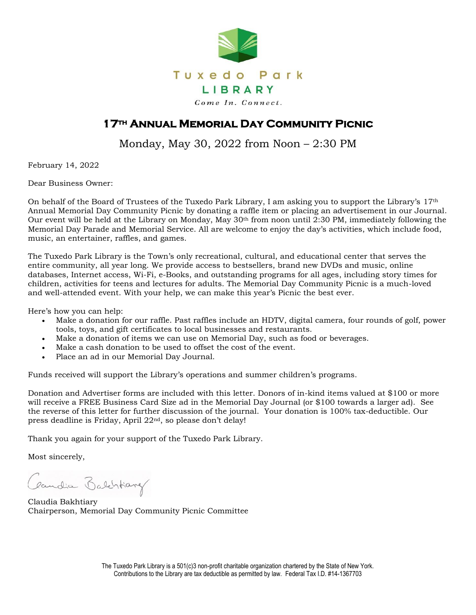

## **17th Annual Memorial Day Community Picnic**

Monday, May 30, 2022 from Noon – 2:30 PM

February 14, 2022

Dear Business Owner:

On behalf of the Board of Trustees of the Tuxedo Park Library, I am asking you to support the Library's 17th Annual Memorial Day Community Picnic by donating a raffle item or placing an advertisement in our Journal. Our event will be held at the Library on Monday, May 30th from noon until 2:30 PM, immediately following the Memorial Day Parade and Memorial Service. All are welcome to enjoy the day's activities, which include food, music, an entertainer, raffles, and games.

The Tuxedo Park Library is the Town's only recreational, cultural, and educational center that serves the entire community, all year long. We provide access to bestsellers, brand new DVDs and music, online databases, Internet access, Wi-Fi, e-Books, and outstanding programs for all ages, including story times for children, activities for teens and lectures for adults. The Memorial Day Community Picnic is a much-loved and well-attended event. With your help, we can make this year's Picnic the best ever.

Here's how you can help:

- Make a donation for our raffle. Past raffles include an HDTV, digital camera, four rounds of golf, power tools, toys, and gift certificates to local businesses and restaurants.
- Make a donation of items we can use on Memorial Day, such as food or beverages.
- Make a cash donation to be used to offset the cost of the event.
- Place an ad in our Memorial Day Journal.

Funds received will support the Library's operations and summer children's programs.

Donation and Advertiser forms are included with this letter. Donors of in-kind items valued at \$100 or more will receive a FREE Business Card Size ad in the Memorial Day Journal (or \$100 towards a larger ad). See the reverse of this letter for further discussion of the journal. Your donation is 100% tax-deductible. Our press deadline is Friday, April 22nd, so please don't delay!

Thank you again for your support of the Tuxedo Park Library.

Most sincerely,

Candia Balchtary

Claudia Bakhtiary Chairperson, Memorial Day Community Picnic Committee